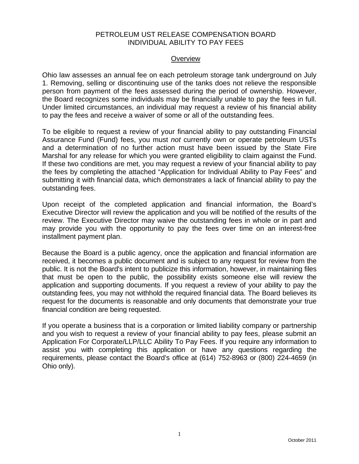### PETROLEUM UST RELEASE COMPENSATION BOARD INDIVIDUAL ABILITY TO PAY FEES

#### **Overview**

Ohio law assesses an annual fee on each petroleum storage tank underground on July 1. Removing, selling or discontinuing use of the tanks does not relieve the responsible person from payment of the fees assessed during the period of ownership. However, the Board recognizes some individuals may be financially unable to pay the fees in full. Under limited circumstances, an individual may request a review of his financial ability to pay the fees and receive a waiver of some or all of the outstanding fees.

To be eligible to request a review of your financial ability to pay outstanding Financial Assurance Fund (Fund) fees, you must *not* currently own or operate petroleum USTs and a determination of no further action must have been issued by the State Fire Marshal for any release for which you were granted eligibility to claim against the Fund. If these two conditions are met, you may request a review of your financial ability to pay the fees by completing the attached "Application for Individual Ability to Pay Fees" and submitting it with financial data, which demonstrates a lack of financial ability to pay the outstanding fees.

Upon receipt of the completed application and financial information, the Board's Executive Director will review the application and you will be notified of the results of the review. The Executive Director may waive the outstanding fees in whole or in part and may provide you with the opportunity to pay the fees over time on an interest-free installment payment plan.

Because the Board is a public agency, once the application and financial information are received, it becomes a public document and is subject to any request for review from the public. It is not the Board's intent to publicize this information, however, in maintaining files that must be open to the public, the possibility exists someone else will review the application and supporting documents. If you request a review of your ability to pay the outstanding fees, you may not withhold the required financial data. The Board believes its request for the documents is reasonable and only documents that demonstrate your true financial condition are being requested.

If you operate a business that is a corporation or limited liability company or partnership and you wish to request a review of your financial ability to pay fees, please submit an [Application For Corporate/LLP/LLC Ability To Pay Fees.](http://www.petroboard.org/Pdfs/CorpAbilityToPay.pdf) If you require any information to assist you with completing this application or have any questions regarding the requirements, please contact the Board's office at (614) 752-8963 or (800) 224-4659 (in Ohio only).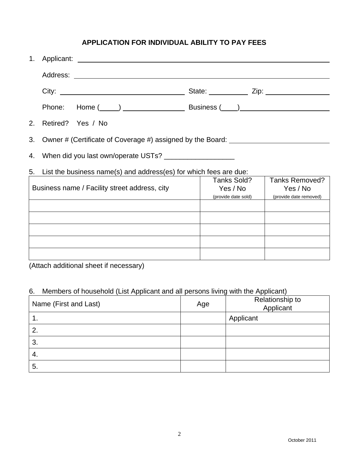## **APPLICATION FOR INDIVIDUAL ABILITY TO PAY FEES**

| 1.                                                                                     |                                                                                                        |
|----------------------------------------------------------------------------------------|--------------------------------------------------------------------------------------------------------|
|                                                                                        |                                                                                                        |
|                                                                                        |                                                                                                        |
|                                                                                        |                                                                                                        |
| 2.<br>Retired? Yes / No                                                                |                                                                                                        |
| 3.<br>Owner # (Certificate of Coverage #) assigned by the Board: _____________________ |                                                                                                        |
| 4.                                                                                     |                                                                                                        |
| 5.<br>List the business name(s) and address(es) for which fees are due:                |                                                                                                        |
| Business name / Facility street address, city                                          | Tanks Sold?<br>Tanks Removed?<br>Yes / No<br>Yes / No<br>(provide date sold)<br>(provide date removed) |
|                                                                                        |                                                                                                        |
|                                                                                        |                                                                                                        |
|                                                                                        |                                                                                                        |
| $\Lambda$ the sheared and the seal sheared if is a second $\Lambda$                    |                                                                                                        |

(Attach additional sheet if necessary)

# 6. Members of household (List Applicant and all persons living with the Applicant)

| Name (First and Last) | Age | Relationship to<br>Applicant |
|-----------------------|-----|------------------------------|
|                       |     | Applicant                    |
| 2.                    |     |                              |
| 3.                    |     |                              |
| -4.                   |     |                              |
| 5.                    |     |                              |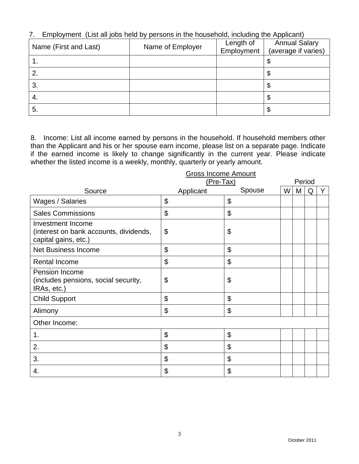7. Employment (List all jobs held by persons in the household, including the Applicant)

| Name (First and Last) | Name of Employer | Length of<br>Employment | <b>Annual Salary</b><br>(average if varies) |
|-----------------------|------------------|-------------------------|---------------------------------------------|
|                       |                  |                         |                                             |
|                       |                  |                         | ◡                                           |
|                       |                  |                         | Φ                                           |
| 3.                    |                  |                         | Φ                                           |
| 4.                    |                  |                         |                                             |
| 5.                    |                  |                         | ง                                           |

8. Income: List all income earned by persons in the household. If household members other than the Applicant and his or her spouse earn income, please list on a separate page. Indicate if the earned income is likely to change significantly in the current year. Please indicate whether the listed income is a weekly, monthly, quarterly or yearly amount.

| <b>Gross Income Amount</b>                                                                 |           |        |   |   |        |   |
|--------------------------------------------------------------------------------------------|-----------|--------|---|---|--------|---|
|                                                                                            | (Pre-Tax) |        |   |   | Period |   |
| Source                                                                                     | Applicant | Spouse | W | M | Q      | Y |
| Wages / Salaries                                                                           | \$        | \$     |   |   |        |   |
| <b>Sales Commissions</b>                                                                   | \$        | \$     |   |   |        |   |
| <b>Investment Income</b><br>(interest on bank accounts, dividends,<br>capital gains, etc.) | \$        | \$     |   |   |        |   |
| <b>Net Business Income</b>                                                                 | \$        | \$     |   |   |        |   |
| Rental Income                                                                              | \$        | \$     |   |   |        |   |
| Pension Income<br>(includes pensions, social security,<br>IRAs, etc.)                      | \$        | \$     |   |   |        |   |
| <b>Child Support</b>                                                                       | \$        | \$     |   |   |        |   |
| Alimony                                                                                    | \$        | \$     |   |   |        |   |
| Other Income:                                                                              |           |        |   |   |        |   |
| 1.                                                                                         | \$        | \$     |   |   |        |   |
| 2.                                                                                         | \$        | \$     |   |   |        |   |
| 3.                                                                                         | \$        | \$     |   |   |        |   |
| 4.                                                                                         | \$        | \$     |   |   |        |   |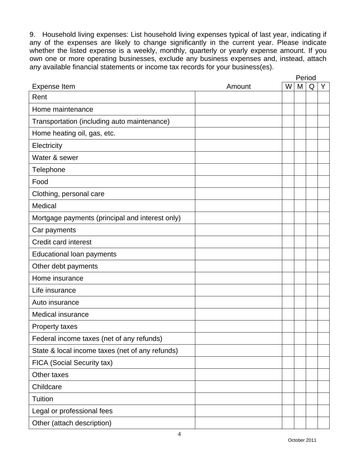9. Household living expenses: List household living expenses typical of last year, indicating if any of the expenses are likely to change significantly in the current year. Please indicate whether the listed expense is a weekly, monthly, quarterly or yearly expense amount. If you own one or more operating businesses, exclude any business expenses and, instead, attach any available financial statements or income tax records for your business(es).

|                                                 |        | Period |   |   |   |
|-------------------------------------------------|--------|--------|---|---|---|
| <b>Expense Item</b>                             | Amount | W      | M | Q | Y |
| Rent                                            |        |        |   |   |   |
| Home maintenance                                |        |        |   |   |   |
| Transportation (including auto maintenance)     |        |        |   |   |   |
| Home heating oil, gas, etc.                     |        |        |   |   |   |
| Electricity                                     |        |        |   |   |   |
| Water & sewer                                   |        |        |   |   |   |
| Telephone                                       |        |        |   |   |   |
| Food                                            |        |        |   |   |   |
| Clothing, personal care                         |        |        |   |   |   |
| Medical                                         |        |        |   |   |   |
| Mortgage payments (principal and interest only) |        |        |   |   |   |
| Car payments                                    |        |        |   |   |   |
| Credit card interest                            |        |        |   |   |   |
| Educational loan payments                       |        |        |   |   |   |
| Other debt payments                             |        |        |   |   |   |
| Home insurance                                  |        |        |   |   |   |
| Life insurance                                  |        |        |   |   |   |
| Auto insurance                                  |        |        |   |   |   |
| <b>Medical insurance</b>                        |        |        |   |   |   |
| Property taxes                                  |        |        |   |   |   |
| Federal income taxes (net of any refunds)       |        |        |   |   |   |
| State & local income taxes (net of any refunds) |        |        |   |   |   |
| FICA (Social Security tax)                      |        |        |   |   |   |
| Other taxes                                     |        |        |   |   |   |
| Childcare                                       |        |        |   |   |   |
| Tuition                                         |        |        |   |   |   |
| Legal or professional fees                      |        |        |   |   |   |
| Other (attach description)                      |        |        |   |   |   |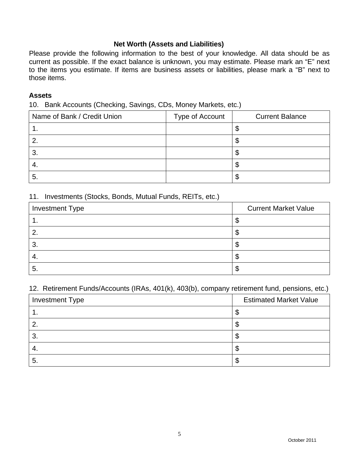### **Net Worth (Assets and Liabilities)**

Please provide the following information to the best of your knowledge. All data should be as current as possible. If the exact balance is unknown, you may estimate. Please mark an "E" next to the items you estimate. If items are business assets or liabilities, please mark a "B" next to those items.

#### **Assets**

10. Bank Accounts (Checking, Savings, CDs, Money Markets, etc.)

| Name of Bank / Credit Union | Type of Account | <b>Current Balance</b> |
|-----------------------------|-----------------|------------------------|
|                             |                 |                        |
| 2                           |                 |                        |
| -3.                         |                 |                        |
| -4.                         |                 | w                      |
| . ა.                        |                 | мD                     |

#### 11. Investments (Stocks, Bonds, Mutual Funds, REITs, etc.)

| <b>Investment Type</b> | <b>Current Market Value</b> |
|------------------------|-----------------------------|
| . .                    | w                           |
| 2.                     |                             |
| 3.                     |                             |
| -4.                    | Φ                           |
| . ხ.                   | Φ                           |

#### 12. Retirement Funds/Accounts (IRAs, 401(k), 403(b), company retirement fund, pensions, etc.)

| <b>Investment Type</b> | <b>Estimated Market Value</b> |
|------------------------|-------------------------------|
|                        | ۰D                            |
|                        | Φ                             |
| O.                     | \$                            |
| 4.                     | Φ                             |
| O.                     | ъD                            |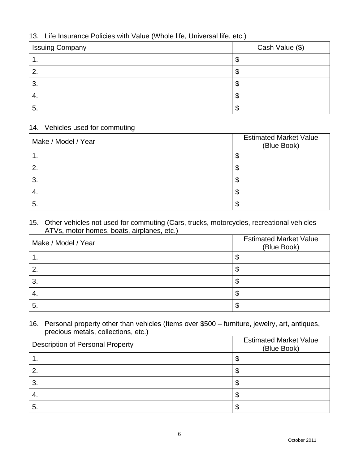## 13. Life Insurance Policies with Value (Whole life, Universal life, etc.)

| <b>Issuing Company</b> | Cash Value (\$) |
|------------------------|-----------------|
| . .                    |                 |
|                        |                 |
| ◠<br>ა.                | ۰D              |
| 4.                     | ۰D              |
| 5.                     | Φ               |

## 14. Vehicles used for commuting

| Make / Model / Year | <b>Estimated Market Value</b><br>(Blue Book) |
|---------------------|----------------------------------------------|
|                     | œ<br>Φ                                       |
| 2.                  | \$                                           |
| 3.                  | \$                                           |
| 4.                  | \$                                           |
| 5.                  | ጥ<br>Φ                                       |

#### 15. Other vehicles not used for commuting (Cars, trucks, motorcycles, recreational vehicles – ATVs, motor homes, boats, airplanes, etc.)

| Make / Model / Year | <b>Estimated Market Value</b><br>(Blue Book) |
|---------------------|----------------------------------------------|
| . .                 | \$                                           |
| 2.                  | \$                                           |
| 3.                  | \$                                           |
| -4.                 | \$                                           |
| -5.                 | Ф                                            |

### 16. Personal property other than vehicles (Items over \$500 – furniture, jewelry, art, antiques, precious metals, collections, etc.)

| <b>Description of Personal Property</b> | <b>Estimated Market Value</b><br>(Blue Book) |
|-----------------------------------------|----------------------------------------------|
| . .                                     | \$                                           |
|                                         | \$                                           |
| 3.                                      | \$                                           |
| -4.                                     | \$                                           |
| 5.                                      | \$                                           |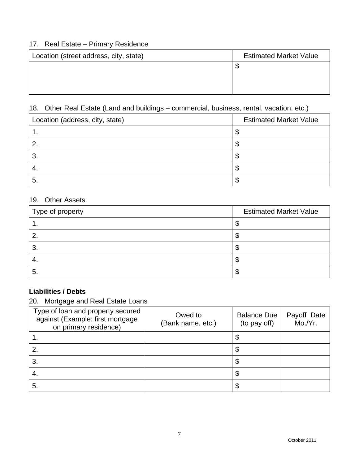## 17. Real Estate – Primary Residence

| Location (street address, city, state) | <b>Estimated Market Value</b> |  |
|----------------------------------------|-------------------------------|--|
|                                        | Ψ                             |  |
|                                        |                               |  |
|                                        |                               |  |

# 18. Other Real Estate (Land and buildings – commercial, business, rental, vacation, etc.)

| Location (address, city, state) | <b>Estimated Market Value</b> |
|---------------------------------|-------------------------------|
|                                 |                               |
|                                 |                               |
| 3.                              |                               |
|                                 |                               |
| G                               |                               |

## 19. Other Assets

| Type of property | <b>Estimated Market Value</b> |
|------------------|-------------------------------|
|                  |                               |
| $\overline{2}$   | w                             |
| $\mathbf{3}$     |                               |
|                  |                               |
| -5.              |                               |

# **Liabilities / Debts**

## 20. Mortgage and Real Estate Loans

| Type of loan and property secured<br>against (Example: first mortgage<br>on primary residence) | Owed to<br>(Bank name, etc.) | <b>Balance Due</b><br>(to pay off) | Payoff Date<br>Mo./Yr. |
|------------------------------------------------------------------------------------------------|------------------------------|------------------------------------|------------------------|
|                                                                                                |                              | Φ                                  |                        |
|                                                                                                |                              |                                    |                        |
| 3.                                                                                             |                              |                                    |                        |
| 4.                                                                                             |                              |                                    |                        |
| 5.                                                                                             |                              | \$                                 |                        |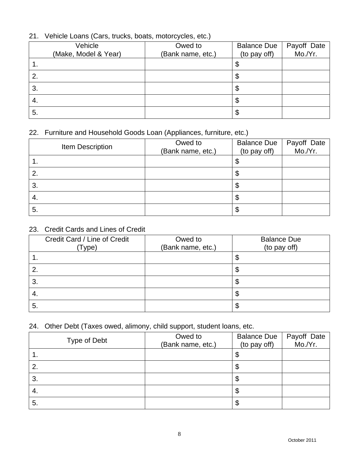## 21. Vehicle Loans (Cars, trucks, boats, motorcycles, etc.)

| Vehicle<br>(Make, Model & Year) | Owed to<br>(Bank name, etc.) | <b>Balance Due</b><br>(to pay off) | Payoff Date<br>Mo./Yr. |
|---------------------------------|------------------------------|------------------------------------|------------------------|
| . .                             |                              | Φ                                  |                        |
| 2.                              |                              |                                    |                        |
| 3.                              |                              | D                                  |                        |
| -4.                             |                              | ง                                  |                        |
| 5.                              |                              | Φ                                  |                        |

## 22. Furniture and Household Goods Loan (Appliances, furniture, etc.)

| Item Description | Owed to<br>(Bank name, etc.) | <b>Balance Due</b><br>(to pay off) | Payoff Date<br>Mo./Yr. |
|------------------|------------------------------|------------------------------------|------------------------|
| . .              |                              | ง                                  |                        |
| 2.               |                              | Φ                                  |                        |
| 3.               |                              | Φ                                  |                        |
| 4.               |                              | Φ                                  |                        |
| 5.               |                              | Φ                                  |                        |

## 23. Credit Cards and Lines of Credit

| Credit Card / Line of Credit<br>(Type) | Owed to<br>(Bank name, etc.) | <b>Balance Due</b><br>(to pay off) |
|----------------------------------------|------------------------------|------------------------------------|
|                                        |                              | \$                                 |
|                                        |                              | œ<br>Φ                             |
| 3.                                     |                              | œ<br>Φ                             |
| -4.                                    |                              | œ<br>Œ                             |
| 5.                                     |                              | œ<br>ъD                            |

## 24. Other Debt (Taxes owed, alimony, child support, student loans, etc.

| Type of Debt | Owed to<br>(Bank name, etc.) | <b>Balance Due</b><br>(to pay off) | Payoff Date<br>Mo./Yr. |
|--------------|------------------------------|------------------------------------|------------------------|
| . .          |                              | Ψ                                  |                        |
| 2.           |                              | Φ                                  |                        |
| 3.           |                              | \$                                 |                        |
| -4.          |                              | \$                                 |                        |
| 5.           |                              | \$                                 |                        |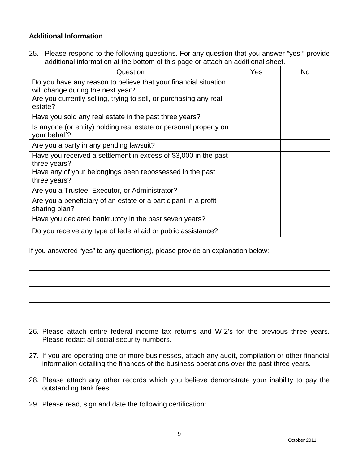## **Additional Information**

25. Please respond to the following questions. For any question that you answer "yes," provide additional information at the bottom of this page or attach an additional sheet.

| Question                                                                                             | Yes | No |
|------------------------------------------------------------------------------------------------------|-----|----|
| Do you have any reason to believe that your financial situation<br>will change during the next year? |     |    |
| Are you currently selling, trying to sell, or purchasing any real<br>estate?                         |     |    |
| Have you sold any real estate in the past three years?                                               |     |    |
| Is anyone (or entity) holding real estate or personal property on<br>your behalf?                    |     |    |
| Are you a party in any pending lawsuit?                                                              |     |    |
| Have you received a settlement in excess of \$3,000 in the past<br>three years?                      |     |    |
| Have any of your belongings been repossessed in the past<br>three years?                             |     |    |
| Are you a Trustee, Executor, or Administrator?                                                       |     |    |
| Are you a beneficiary of an estate or a participant in a profit<br>sharing plan?                     |     |    |
| Have you declared bankruptcy in the past seven years?                                                |     |    |
| Do you receive any type of federal aid or public assistance?                                         |     |    |

If you answered "yes" to any question(s), please provide an explanation below:

- 26. Please attach entire federal income tax returns and W-2's for the previous three years. Please redact all social security numbers.
- 27. If you are operating one or more businesses, attach any audit, compilation or other financial information detailing the finances of the business operations over the past three years.
- 28. Please attach any other records which you believe demonstrate your inability to pay the outstanding tank fees.
- 29. Please read, sign and date the following certification: